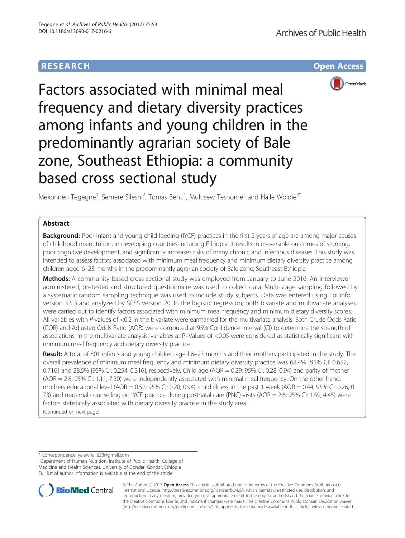# **RESEARCH CHE Open Access**



Factors associated with minimal meal frequency and dietary diversity practices among infants and young children in the predominantly agrarian society of Bale zone, Southeast Ethiopia: a community based cross sectional study

Mekonnen Tegegne<sup>1</sup>, Semere Sileshi<sup>2</sup>, Tomas Benti<sup>1</sup>, Mulusew Teshome<sup>2</sup> and Haile Woldie<sup>3\*</sup>

# Abstract

**Background:** Poor infant and young child feeding (IYCF) practices in the first 2 years of age are among major causes of childhood malnutrition, in developing countries including Ethiopia. It results in irreversible outcomes of stunting, poor cognitive development, and significantly increases risks of many chronic and infectious diseases. This study was intended to assess factors associated with minimum meal frequency and minimum dietary diversity practice among children aged 6–23 months in the predominantly agrarian society of Bale zone, Southeast Ethiopia.

Methods: A community based cross sectional study was employed from January to June 2016. An interviewer administered, pretested and structured questionnaire was used to collect data. Multi-stage sampling followed by a systematic random sampling technique was used to include study subjects. Data was entered using Epi info version 3.5.3 and analyzed by SPSS version 20. In the logistic regression, both bivariate and multivariate analyses were carried out to identify factors associated with minimum meal frequency and minimum dietary diversity scores. All variables with P-values of <0.2 in the bivariate were earmarked for the multivariate analysis. Both Crude Odds Ratio (COR) and Adjusted Odds Ratio (AOR) were computed at 95% Confidence Interval (CI) to determine the strength of associations. In the multivariate analysis, variables at P–Values of <0.05 were considered as statistically significant with minimum meal frequency and dietary diversity practice.

Result: A total of 801 infants and young children aged 6–23 months and their mothers participated in the study. The overall prevalence of minimum meal frequency and minimum dietary diversity practice was 68.4% [95% CI: 0.652, 0.716] and 28.5% [95% CI: 0.254, 0.316], respectively. Child age (AOR = 0.29; 95% CI: 0.28, 0.94) and parity of mother (AOR = 2.8; 95% CI: 1.11, 7.50) were independently associated with minimal meal frequency. On the other hand, mothers educational level (AOR = 0.52; 95% CI: 0.28, 0.94), child illness in the past 1 week (AOR = 0.44; 95% CI: 0.26, 0. 73) and maternal counselling on IYCF practice during postnatal care (PNC) visits (AOR = 2.6; 95% CI: 1.59, 4.45) were factors statistically associated with dietary diversity practice in the study area. (Continued on next page)

\* Correspondence: [yalewhaile28@gmail.com](mailto:yalewhaile28@gmail.com) <sup>3</sup>

<sup>3</sup>Department of Human Nutrition, Institute of Public Health, College of Medicine and Health Sciences, University of Gondar, Gondar, Ethiopia Full list of author information is available at the end of the article



© The Author(s). 2017 **Open Access** This article is distributed under the terms of the Creative Commons Attribution 4.0 International License [\(http://creativecommons.org/licenses/by/4.0/](http://creativecommons.org/licenses/by/4.0/)), which permits unrestricted use, distribution, and reproduction in any medium, provided you give appropriate credit to the original author(s) and the source, provide a link to the Creative Commons license, and indicate if changes were made. The Creative Commons Public Domain Dedication waiver [\(http://creativecommons.org/publicdomain/zero/1.0/](http://creativecommons.org/publicdomain/zero/1.0/)) applies to the data made available in this article, unless otherwise stated.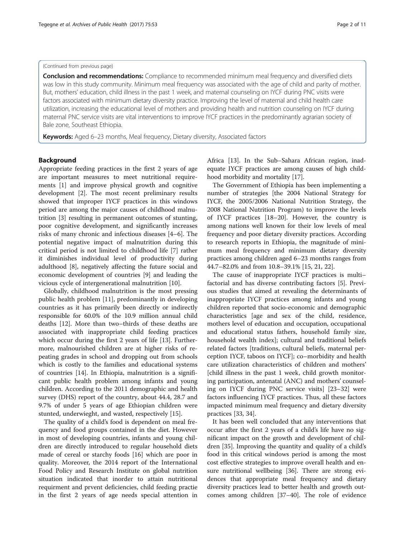### (Continued from previous page)

**Conclusion and recommendations:** Compliance to recommended minimum meal frequency and diversified diets was low in this study community. Minimum meal frequency was associated with the age of child and parity of mother. But, mothers' education, child illness in the past 1 week, and maternal counseling on IYCF during PNC visits were factors associated with minimum dietary diversity practice. Improving the level of maternal and child health care utilization, increasing the educational level of mothers and providing health and nutrition counseling on IYCF during maternal PNC service visits are vital interventions to improve IYCF practices in the predominantly agrarian society of Bale zone, Southeast Ethiopia.

Keywords: Aged 6-23 months, Meal frequency, Dietary diversity, Associated factors

## Background

Appropriate feeding practices in the first 2 years of age are important measures to meet nutritional requirements [\[1\]](#page-9-0) and improve physical growth and cognitive development [[2\]](#page-9-0). The most recent preliminary results showed that improper IYCF practices in this windows period are among the major causes of childhood malnutrition [\[3](#page-9-0)] resulting in permanent outcomes of stunting, poor cognitive development, and significantly increases risks of many chronic and infectious diseases [\[4](#page-9-0)–[6\]](#page-9-0). The potential negative impact of malnutrition during this critical period is not limited to childhood life [\[7\]](#page-9-0) rather it diminishes individual level of productivity during adulthood [\[8](#page-9-0)], negatively affecting the future social and economic development of countries [[9](#page-9-0)] and leading the vicious cycle of intergenerational malnutrition [[10\]](#page-9-0).

Globally, childhood malnutrition is the most pressing public health problem [[11\]](#page-9-0), predominantly in developing countries as it has primarily been directly or indirectly responsible for 60.0% of the 10.9 million annual child deaths [[12](#page-9-0)]. More than two–thirds of these deaths are associated with inappropriate child feeding practices which occur during the first 2 years of life [\[13\]](#page-9-0). Furthermore, malnourished children are at higher risks of repeating grades in school and dropping out from schools which is costly to the families and educational systems of countries [\[14](#page-9-0)]. In Ethiopia, malnutrition is a significant public health problem among infants and young children. According to the 2011 demographic and health survey (DHS) report of the country, about 44.4, 28.7 and 9.7% of under 5 years of age Ethiopian children were stunted, underwieght, and wasted, respectively [\[15\]](#page-9-0).

The quality of a child's food is dependent on meal frequency and food groups contained in the diet. However in most of developing countries, infants and young children are directly introduced to regular household diets made of cereal or starchy foods [[16](#page-9-0)] which are poor in quality. Moreover, the 2014 report of the International Food Policy and Research Institute on global nutrition situation indicated that inorder to attain nutritional requirment and prvent deficiencies, child feeding practie in the first 2 years of age needs special attention in Africa [[13](#page-9-0)]. In the Sub–Sahara African region, inadequate IYCF practices are among causes of high childhood morbidity and mortality [[17](#page-9-0)].

The Government of Ethiopia has been implementing a number of strategies [the 2004 National Strategy for IYCF, the 2005/2006 National Nutrition Strategy, the 2008 National Nutrition Program) to improve the levels of IYCF practices [[18](#page-9-0)–[20](#page-9-0)]. However, the country is among nations well known for their low levels of meal frequency and poor dietary diversity practices. According to research reports in Ethiopia, the magnitude of minimum meal frequency and minimum dietary diversity practices among children aged 6–23 months ranges from 44.7–82.0% and from 10.8–39.1% [[15](#page-9-0), [21](#page-9-0), [22](#page-9-0)].

The cause of inappropriate IYCF practices is multi– factorial and has diverse contributing factors [\[5\]](#page-9-0). Previous studies that aimed at revealing the determinants of inappropriate IYCF practices among infants and young children reported that socio-economic and demographic characteristics [age and sex of the child, residence, mothers level of education and occupation, occupational and educational status fathers, household family size, household wealth index]; cultural and traditional beliefs related factors [traditions, cultural beliefs, maternal perception IYCF, taboos on IYCF]; co–morbidity and health care utilization characteristics of children and mothers' [child illness in the past 1 week, child growth monitoring participation, antenatal (ANC) and mothers' counseling on IYCF during PNC service visits] [[23](#page-9-0)–[32](#page-9-0)] were factors influencing IYCF practices. Thus, all these factors impacted minimum meal frequency and dietary diversity practices [[33, 34\]](#page-9-0).

It has been well concluded that any interventions that occur after the first 2 years of a child's life have no significant impact on the growth and development of children [[35](#page-10-0)]. Improving the quantity and quality of a child's food in this critical windows period is among the most cost effective strategies to improve overall health and ensure nutritional wellbeing [[36](#page-10-0)]. There are strong evidences that appropriate meal frequency and dietary diversity practices lead to better health and growth outcomes among children [\[37](#page-10-0)–[40\]](#page-10-0). The role of evidence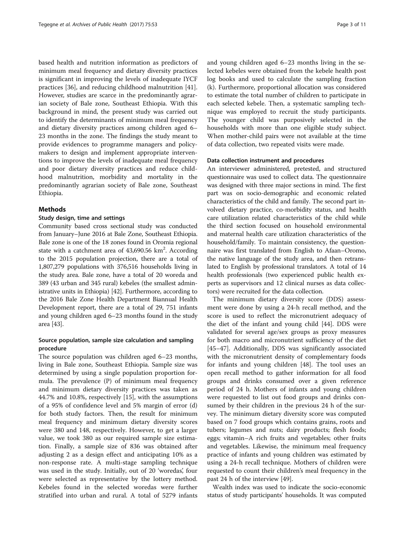based health and nutrition information as predictors of minimum meal frequency and dietary diversity practices is significant in improving the levels of inadequate IYCF practices [[36\]](#page-10-0), and reducing childhood malnutrition [\[41](#page-10-0)]. However, studies are scarce in the predominantly agrarian society of Bale zone, Southeast Ethiopia. With this background in mind, the present study was carried out to identify the determinants of minimum meal frequency and dietary diversity practices among children aged 6– 23 months in the zone. The findings the study meant to provide evidences to programme managers and policymakers to design and implement appropriate interventions to improve the levels of inadequate meal frequency and poor dietary diversity practices and reduce childhood malnutrition, morbidity and mortality in the predominantly agrarian society of Bale zone, Southeast Ethiopia.

### Methods

### Study design, time and settings

Community based cross sectional study was conducted from January–June 2016 at Bale Zone, Southeast Ethiopia. Bale zone is one of the 18 zones found in Oromia regional state with a catchment area of  $43,690.56$  km<sup>2</sup>. According to the 2015 population projection, there are a total of 1,807,279 populations with 376,516 households living in the study area. Bale zone, have a total of 20 woreda and 389 (43 urban and 345 rural) kebeles (the smallest administrative units in Ethiopia) [[42](#page-10-0)]. Furthermore, according to the 2016 Bale Zone Health Department Biannual Health Development report, there are a total of 29, 751 infants and young children aged 6–23 months found in the study area [\[43\]](#page-10-0).

# Source population, sample size calculation and sampling procedure

The source population was children aged 6–23 months, living in Bale zone, Southeast Ethiopia. Sample size was determined by using a single population proportion formula. The prevalence (P) of minimum meal frequency and minimum dietary diversity practices was taken as 44.7% and 10.8%, respectively [\[15](#page-9-0)], with the assumptions of a 95% of confidence level and 5% margin of error (d) for both study factors. Then, the result for minimum meal frequency and minimum dietary diversity scores were 380 and 148, respectively. However, to get a larger value, we took 380 as our required sample size estimation. Finally, a sample size of 836 was obtained after adjusting 2 as a design effect and anticipating 10% as a non-response rate. A multi-stage sampling technique was used in the study. Initially, out of 20 'woredas', four were selected as representative by the lottery method. Kebeles found in the selected woredas were further stratified into urban and rural. A total of 5279 infants and young children aged 6–23 months living in the selected kebeles were obtained from the kebele health post log books and used to calculate the sampling fraction (k). Furthermore, proportional allocation was considered to estimate the total number of children to participate in each selected kebele. Then, a systematic sampling technique was employed to recruit the study participants. The younger child was purposively selected in the households with more than one eligible study subject. When mother-child pairs were not available at the time of data collection, two repeated visits were made.

### Data collection instrument and procedures

An interviewer administered, pretested, and structured questionnaire was used to collect data. The questionnaire was designed with three major sections in mind. The first part was on socio-demographic and economic related characteristics of the child and family. The second part involved dietary practice, co-morbidity status, and health care utilization related characteristics of the child while the third section focused on household environmental and maternal health care utilization characteristics of the household/family. To maintain consistency, the questionnaire was first translated from English to Afaan–Oromo, the native language of the study area, and then retranslated to English by professional translators. A total of 14 health professionals (two experienced public health experts as supervisors and 12 clinical nurses as data collectors) were recruited for the data collection.

The minimum dietary diversity score (DDS) assessment were done by using a 24-h recall method, and the score is used to reflect the micronutrient adequacy of the diet of the infant and young child [[44\]](#page-10-0). DDS were validated for several age/sex groups as proxy measures for both macro and micronutrient sufficiency of the diet [[45](#page-10-0)–[47](#page-10-0)]. Additionally, DDS was significantly associated with the micronutrient density of complementary foods for infants and young children [[48\]](#page-10-0). The tool uses an open recall method to gather information for all food groups and drinks consumed over a given reference period of 24 h. Mothers of infants and young children were requested to list out food groups and drinks consumed by their children in the previous 24 h of the survey. The minimum dietary diversity score was computed based on 7 food groups which contains grains, roots and tubers; legumes and nuts; dairy products; flesh foods; eggs; vitamin–A rich fruits and vegetables; other fruits and vegetables. Likewise, the minimum meal frequency practice of infants and young children was estimated by using a 24-h recall technique. Mothers of children were requested to count their children's meal frequency in the past 24 h of the interview [\[49\]](#page-10-0).

Wealth index was used to indicate the socio-economic status of study participants' households. It was computed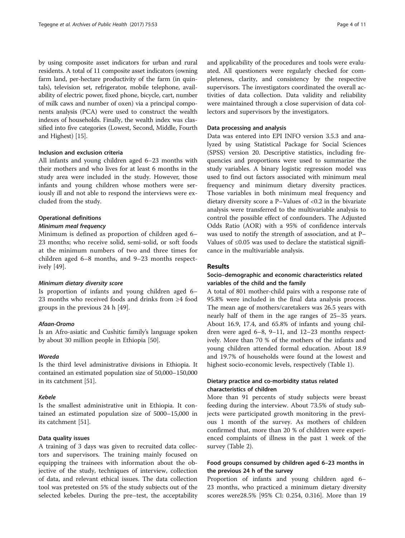by using composite asset indicators for urban and rural residents. A total of 11 composite asset indicators (owning farm land, per-hectare productivity of the farm (in quintals), television set, refrigerator, mobile telephone, availability of electric power, fixed phone, bicycle, cart, number of milk caws and number of oxen) via a principal components analysis (PCA) were used to construct the wealth indexes of households. Finally, the wealth index was classified into five categories (Lowest, Second, Middle, Fourth and Highest) [[15](#page-9-0)].

# Inclusion and exclusion criteria

All infants and young children aged 6–23 months with their mothers and who lives for at least 6 months in the study area were included in the study. However, those infants and young children whose mothers were seriously ill and not able to respond the interviews were excluded from the study.

### Operational definitions

## Minimum meal frequency

Minimum is defined as proportion of children aged 6– 23 months; who receive solid, semi-solid, or soft foods at the minimum numbers of two and three times for children aged 6–8 months, and 9–23 months respectively [[49\]](#page-10-0).

### Minimum dietary diversity score

Is proportion of infants and young children aged 6– 23 months who received foods and drinks from ≥4 food groups in the previous 24 h [[49\]](#page-10-0).

### Afaan-Oromo

Is an Afro-asiatic and Cushitic family's language spoken by about 30 million people in Ethiopia [[50](#page-10-0)].

### Woreda

Is the third level administrative divisions in Ethiopia. It contained an estimated population size of 50,000–150,000 in its catchment [[51\]](#page-10-0).

# Kebele

Is the smallest administrative unit in Ethiopia. It contained an estimated population size of 5000–15,000 in its catchment [\[51\]](#page-10-0).

# Data quality issues

A training of 3 days was given to recruited data collectors and supervisors. The training mainly focused on equipping the trainees with information about the objective of the study, techniques of interview, collection of data, and relevant ethical issues. The data collection tool was pretested on 5% of the study subjects out of the selected kebeles. During the pre–test, the acceptability and applicability of the procedures and tools were evaluated. All questioners were regularly checked for completeness, clarity, and consistency by the respective supervisors. The investigators coordinated the overall activities of data collection. Data validity and reliability were maintained through a close supervision of data collectors and supervisors by the investigators.

### Data processing and analysis

Data was entered into EPI INFO version 3.5.3 and analyzed by using Statistical Package for Social Sciences (SPSS) version 20. Descriptive statistics, including frequencies and proportions were used to summarize the study variables. A binary logistic regression model was used to find out factors associated with minimum meal frequency and minimum dietary diversity practices. Those variables in both minimum meal frequency and dietary diversity score a P–Values of <0.2 in the bivariate analysis were transferred to the multivariable analysis to control the possible effect of confounders. The Adjusted Odds Ratio (AOR) with a 95% of confidence intervals was used to notify the strength of association, and at P– Values of ≤0.05 was used to declare the statistical significance in the multivariable analysis.

## Results

# Socio–demographic and economic characteristics related variables of the child and the family

A total of 801 mother-child pairs with a response rate of 95.8% were included in the final data analysis process. The mean age of mothers/caretakers was 26.5 years with nearly half of them in the age ranges of 25–35 years. About 16.9, 17.4, and 65.8% of infants and young children were aged 6–8, 9–11, and 12–23 months respectively. More than 70 % of the mothers of the infants and young children attended formal education. About 18.9 and 19.7% of households were found at the lowest and highest socio-economic levels, respectively (Table [1](#page-4-0)).

# Dietary practice and co-morbidity status related characteristics of children

More than 91 percents of study subjects were breast feeding during the interview. About 73.5% of study subjects were participated growth monitoring in the previous 1 month of the survey. As mothers of children confirmed that, more than 20 % of children were experienced complaints of illness in the past 1 week of the survey (Table [2](#page-4-0)).

# Food groups consumed by children aged 6–23 months in the previous 24 h of the survey

Proportion of infants and young children aged 6– 23 months, who practiced a minimum dietary diversity scores were28.5% [95% CI: 0.254, 0.316]. More than 19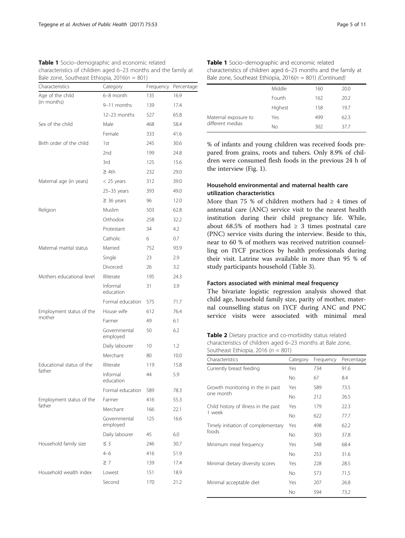| $P$ and $P$ and $P$ are not as the state $P$ and $P$ are $P$ and $P$ are $P$ are $P$ are $P$ and $P$ are $P$ are $P$ are $P$ are $P$ and $P$ are $P$ are $P$ are $P$ are $P$ are $P$ are $P$ are $P$ are $P$ are $P$ are $P$ | $\sim$ $\sim$ $\sim$ $\sim$ |           |            |
|------------------------------------------------------------------------------------------------------------------------------------------------------------------------------------------------------------------------------|-----------------------------|-----------|------------|
| Characteristics                                                                                                                                                                                                              | Category                    | Frequency | Percentage |
| Age of the child<br>(in months)                                                                                                                                                                                              | 6-8 month                   | 135       | 16.9       |
|                                                                                                                                                                                                                              | 9-11 months                 | 139       | 17.4       |
|                                                                                                                                                                                                                              | $12-23$ months              | 527       | 65.8       |
| Sex of the child                                                                                                                                                                                                             | Male                        | 468       | 58.4       |
|                                                                                                                                                                                                                              | Female                      | 333       | 41.6       |
| Birth order of the child                                                                                                                                                                                                     | 1st                         | 245       | 30.6       |
|                                                                                                                                                                                                                              | 2nd                         | 199       | 24.8       |
|                                                                                                                                                                                                                              | 3rd                         | 125       | 15.6       |
|                                                                                                                                                                                                                              | $\geq 4$ th                 | 232       | 29.0       |
| Maternal age (in years)                                                                                                                                                                                                      | $<$ 25 years                | 312       | 39.0       |
|                                                                                                                                                                                                                              | $25 - 35$ years             | 393       | 49.0       |
|                                                                                                                                                                                                                              | $\geq$ 36 years             | 96        | 12.0       |
| Religion                                                                                                                                                                                                                     | Muslim                      | 503       | 62.8       |
|                                                                                                                                                                                                                              | Orthodox                    | 258       | 32.2       |
|                                                                                                                                                                                                                              | Protestant                  | 34        | 4.2        |
|                                                                                                                                                                                                                              | Catholic                    | 6         | 0.7        |
| Maternal marital status                                                                                                                                                                                                      | Married                     | 752       | 93.9       |
|                                                                                                                                                                                                                              | Single                      | 23        | 2.9        |
|                                                                                                                                                                                                                              | Divorced                    | 26        | 3.2        |
| Mothers educational level                                                                                                                                                                                                    | Illiterate                  | 195       | 24.3       |
|                                                                                                                                                                                                                              | Informal<br>education       | 31        | 3.9        |
|                                                                                                                                                                                                                              | Formal education            | 575       | 71.7       |
| Employment status of the                                                                                                                                                                                                     | House wife                  | 612       | 76.4       |
| mother                                                                                                                                                                                                                       | Farmer                      | 49        | 6.1        |
|                                                                                                                                                                                                                              | Governmental<br>employed    | 50        | 6.2        |
|                                                                                                                                                                                                                              | Daily labourer              | 10        | 1.2        |
|                                                                                                                                                                                                                              | Merchant                    | 80        | 10.0       |
| Educational status of the                                                                                                                                                                                                    | Illiterate                  | 119       | 15.8       |
| father                                                                                                                                                                                                                       | Informal<br>education       | 44        | 5.9        |
|                                                                                                                                                                                                                              | Formal education            | 589       | 78.3       |
| Employment status of the                                                                                                                                                                                                     | Farmer                      | 416       | 55.3       |
| father                                                                                                                                                                                                                       | Merchant                    | 166       | 22.1       |
|                                                                                                                                                                                                                              | Governmental<br>employed    | 125       | 16.6       |
|                                                                                                                                                                                                                              | Daily labourer              | 45        | 6.0        |
| Household family size                                                                                                                                                                                                        | $\leq$ 3                    | 246       | 30.7       |
|                                                                                                                                                                                                                              | $4 - 6$                     | 416       | 51.9       |
|                                                                                                                                                                                                                              | $\geq 7$                    | 139       | 17.4       |
| Household wealth index                                                                                                                                                                                                       | Lowest                      | 151       | 18.9       |
|                                                                                                                                                                                                                              | Second                      | 170       | 21.2       |

<span id="page-4-0"></span>

| Table 1 Socio-demographic and economic related                 |
|----------------------------------------------------------------|
| characteristics of children aged 6–23 months and the family at |
| Bale zone, Southeast Ethiopia, $2016(n = 801)$                 |

| <b>Table 1</b> Socio-demographic and economic related          |
|----------------------------------------------------------------|
| characteristics of children aged 6–23 months and the family at |
| Bale zone, Southeast Ethiopia, $2016(n = 801)$ (Continued)     |

|                                          | Middle  | 160 | 20.0 |  |
|------------------------------------------|---------|-----|------|--|
|                                          | Fourth  | 162 | 20.2 |  |
|                                          | Highest | 158 | 19.7 |  |
| Maternal exposure to<br>different medias | Yes     | 499 | 62.3 |  |
|                                          | Nο      | 302 | 37.7 |  |

% of infants and young children was received foods prepared from grains, roots and tubers. Only 8.9% of children were consumed flesh foods in the previous 24 h of the interview (Fig. [1\)](#page-5-0).

# Household environmental and maternal health care utilization characteristics

More than 75 % of children mothers had  $\geq$  4 times of antenatal care (ANC) service visit to the nearest health institution during their child pregnancy life. While, about 68.5% of mothers had  $\geq$  3 times postnatal care (PNC) service visits during the interview. Beside to this, near to 60 % of mothers was received nutrition counselling on IYCF practices by health professionals during their visit. Latrine was available in more than 95 % of study participants household (Table [3\)](#page-5-0).

# Factors associated with minimal meal frequency

The bivariate logistic regression analysis showed that child age, household family size, parity of mother, maternal counselling status on IYCF during ANC and PNC service visits were associated with minimal meal

Table 2 Dietary practice and co-morbidity status related characteristics of children aged 6–23 months at Bale zone, Southeast Ethiopia, 2016 ( $n = 801$ )

| Characteristics                      | Category | Frequency | Percentage |
|--------------------------------------|----------|-----------|------------|
| Currently breast feeding             | Yes      | 734       | 91.6       |
|                                      | No       | 67        | 8.4        |
| Growth monitoring in the in past     | Yes      | 589       | 73.5       |
| one month                            | No       | 212       | 26.5       |
| Child history of illness in the past | Yes      | 179       | 22.3       |
| 1 week                               | No       | 622       | 77.7       |
| Timely initiation of complementary   | Yes      | 498       | 62.2       |
| foods                                | Nο       | 303       | 37.8       |
| Minimum meal frequency               | Yes      | 548       | 68.4       |
|                                      | No       | 253       | 31.6       |
| Minimal dietary diversity scores     | Yes      | 228       | 28.5       |
|                                      | No       | 573       | 71.5       |
| Minimal acceptable diet              | Yes      | 207       | 26.8       |
|                                      | No       | 594       | 73.2       |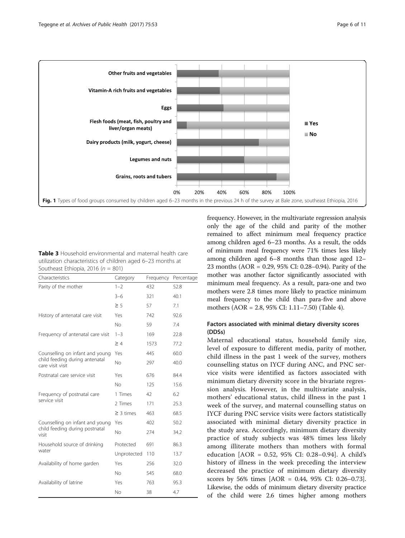<span id="page-5-0"></span>

Table 3 Household environmental and maternal health care utilization characteristics of children aged 6–23 months at Southeast Ethiopia, 2016 ( $n = 801$ )

| Characteristics                                    | Category       | Frequency | Percentage |
|----------------------------------------------------|----------------|-----------|------------|
| Parity of the mother                               | $1 - 2$        | 432       | 52.8       |
|                                                    | $3 - 6$        | 321       | 40.1       |
|                                                    | $\geq$ 5       | 57        | 7.1        |
| History of antenatal care visit                    | Yes            | 742       | 92.6       |
|                                                    | N <sub>o</sub> | 59        | 7.4        |
| Frequency of antenatal care visit                  | $1 - 3$        | 169       | 22.8       |
|                                                    | $\geq 4$       | 1573      | 77.2       |
| Counselling on infant and young                    | Yes            | 445       | 60.0       |
| child feeding during antenatal<br>care visit visit | No             | 297       | 40.0       |
| Postnatal care service visit                       | Yes            | 676       | 84.4       |
|                                                    | N <sub>o</sub> | 125       | 15.6       |
| Frequency of postnatal care                        | 1 Times        | 42        | 6.2        |
| service visit                                      | 2 Times        | 171       | 25.3       |
|                                                    | $\geq$ 3 times | 463       | 68.5       |
| Counselling on infant and young                    | Yes            | 402       | 50.2       |
| child feeding during postnatal<br>visit            | Nο             | 274       | 34.2       |
| Household source of drinking                       | Protected      | 691       | 86.3       |
| water                                              | Unprotected    | 110       | 13.7       |
| Availability of home garden                        | Yes            | 256       | 32.0       |
|                                                    | No.            | 545       | 68.0       |
| Availability of latrine                            | Yes            | 763       | 95.3       |
|                                                    | N <sub>o</sub> | 38        | 4.7        |

frequency. However, in the multivariate regression analysis only the age of the child and parity of the mother remained to affect minimum meal frequency practice among children aged 6–23 months. As a result, the odds of minimum meal frequency were 71% times less likely among children aged 6–8 months than those aged 12– 23 months (AOR = 0.29, 95% CI: 0.28–0.94). Parity of the mother was another factor significantly associated with minimum meal frequency. As a result, para-one and two mothers were 2.8 times more likely to practice minimum meal frequency to the child than para-five and above mothers (AOR = 2.8, 95% CI: 1.11–7.50) (Table [4\)](#page-6-0).

# Factors associated with minimal dietary diversity scores (DDSs)

Maternal educational status, household family size, level of exposure to different media, parity of mother, child illness in the past 1 week of the survey, mothers counselling status on IYCF during ANC, and PNC service visits were identified as factors associated with minimum dietary diversity score in the bivariate regression analysis. However, in the multivariate analysis, mothers' educational status, child illness in the past 1 week of the survey, and maternal counselling status on IYCF during PNC service visits were factors statistically associated with minimal dietary diversity practice in the study area. Accordingly, minimum dietary diversity practice of study subjects was 48% times less likely among illiterate mothers than mothers with formal education [AOR = 0.52, 95% CI: 0.28–0.94]. A child's history of illness in the week preceding the interview decreased the practice of minimum dietary diversity scores by 56% times [AOR = 0.44, 95% CI: 0.26–0.73]. Likewise, the odds of minimum dietary diversity practice of the child were 2.6 times higher among mothers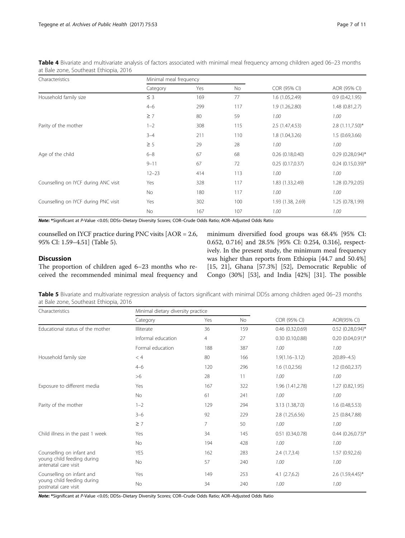| Characteristics                      | Minimal meal frequency |     |     |                       |                     |
|--------------------------------------|------------------------|-----|-----|-----------------------|---------------------|
|                                      | Category               | Yes | No  | COR (95% CI)          | AOR (95% CI)        |
| Household family size                | $\leq$ 3               | 169 | 77  | 1.6 (1.05,2.49)       | 0.9(0.42, 1.95)     |
|                                      | $4 - 6$                | 299 | 117 | 1.9 (1.26,2.80)       | 1.48 (0.81,2.7)     |
|                                      | $\geq$ 7               | 80  | 59  | 1.00                  | 1.00                |
| Parity of the mother                 | $1 - 2$                | 308 | 115 | 2.5(1.47, 4.53)       | $2.8$ (1.11,7.50)*  |
|                                      | $3 - 4$                | 211 | 110 | 1.8 (1.04,3.26)       | 1.5(0.69, 3.66)     |
|                                      | $\geq$ 5               | 29  | 28  | 1.00                  | 1.00                |
| Age of the child                     | $6 - 8$                | 67  | 68  | $0.26$ $(0.18, 0.40)$ | $0.29$ (0.28,0.94)* |
|                                      | $9 - 11$               | 67  | 72  | 0.25(0.17,0.37)       | $0.24$ (0.15,0.39)* |
|                                      | $12 - 23$              | 414 | 113 | 1.00                  | 1.00                |
| Counselling on IYCF during ANC visit | Yes                    | 328 | 117 | 1.83 (1.33,2.49)      | 1.28 (0.79,2.05)    |
|                                      | <b>No</b>              | 180 | 117 | 1.00                  | 1.00                |
| Counselling on IYCF during PNC visit | Yes                    | 302 | 100 | 1.93 (1.38, 2.69)     | 1.25 (0.78,1.99)    |
|                                      | No.                    | 167 | 107 | 1.00                  | 1.00                |

<span id="page-6-0"></span>Table 4 Bivariate and multivariate analysis of factors associated with minimal meal frequency among children aged 06–23 months at Bale zone, Southeast Ethiopia, 2016

Note: \*Significant at P-Value <0.05; DDSs–Dietary Diversity Scores; COR–Crude Odds Ratio; AOR–Adjusted Odds Ratio

counselled on IYCF practice during PNC visits [AOR = 2.6, 95% CI: 1.59–4.51] (Table 5).

# **Discussion**

The proportion of children aged 6–23 months who received the recommended minimal meal frequency and minimum diversified food groups was 68.4% [95% CI: 0.652, 0.716] and 28.5% [95% CI: 0.254, 0.316], respectively. In the present study, the minimum meal frequency was higher than reports from Ethiopia [44.7 and 50.4%] [[15, 21\]](#page-9-0), Ghana [57.3%] [\[52](#page-10-0)], Democratic Republic of Congo (30%] [[53\]](#page-10-0), and India [42%] [[31\]](#page-9-0). The possible

Table 5 Bivariate and multivariate regression analysis of factors significant with minimal DDSs among children aged 06–23 months at Bale zone, Southeast Ethiopia, 2016

| Characteristics                                                                 | Minimal dietary diversity practice |                |     |                    |                         |
|---------------------------------------------------------------------------------|------------------------------------|----------------|-----|--------------------|-------------------------|
|                                                                                 | Category                           | Yes            | No  | COR (95% CI)       | AOR(95% CI)             |
| Educational status of the mother                                                | Illiterate                         | 36             | 159 | 0.46(0.32,0.69)    | 0.52 (0.28,0.94)*       |
|                                                                                 | Informal education                 | $\overline{4}$ | 27  | 0.30(0.10, 0.88)   | $0.20$ $(0.04, 0.91)$ * |
|                                                                                 | Formal education                   | 188            | 387 | 1.00               | 1.00                    |
| Household family size                                                           | < 4                                | 80             | 166 | $1.9(1.16 - 3.12)$ | $2(0.89 - 4.5)$         |
|                                                                                 | $4 - 6$                            | 120            | 296 | 1.6(1.0, 2.56)     | 1.2(0.60, 2.37)         |
|                                                                                 | >6                                 | 28             | 11  | 1.00               | 1.00                    |
| Exposure to different media                                                     | Yes                                | 167            | 322 | 1.96 (1.41,2.78)   | 1.27(0.82, 1.95)        |
|                                                                                 | No                                 | 61             | 241 | 1.00               | 1.00                    |
| Parity of the mother                                                            | $1 - 2$                            | 129            | 294 | 3.13 (1.38,7.0)    | 1.6(0.48, 5.53)         |
|                                                                                 | $3 - 6$                            | 92             | 229 | 2.8 (1.25,6.56)    | 2.5 (0.84,7.88)         |
|                                                                                 | $\geq$ 7                           | $\overline{7}$ | 50  | 1.00               | 1.00                    |
| Child illness in the past 1 week                                                | Yes                                | 34             | 145 | 0.51(0.34, 0.78)   | $0.44$ $(0.26, 0.73)$ * |
|                                                                                 | <b>No</b>                          | 194            | 428 | 1.00               | 1.00                    |
| Counselling on infant and<br>young child feeding during<br>antenatal care visit | <b>YES</b>                         | 162            | 283 | 2.4(1.7,3.4)       | 1.57 (0.92,2.6)         |
|                                                                                 | No                                 | 57             | 240 | 1.00               | 1.00                    |
| Counselling on infant and<br>young child feeding during<br>postnatal care visit | Yes                                | 149            | 253 | 4.1 (2.7, 6.2)     | $2.6$ (1.59,4.45)*      |
|                                                                                 | No                                 | 34             | 240 | 1.00               | 1.00                    |

Note: \*Significant at P-Value <0.05; DDSs–Dietary Diversity Scores; COR–Crude Odds Ratio; AOR–Adjusted Odds Ratio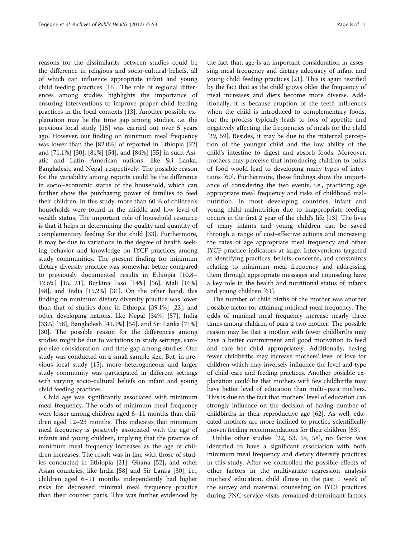reasons for the dissimilarity between studies could be the difference in religious and socio-cultural beliefs, all of which can influence appropriate infant and young child feeding practices [[16](#page-9-0)]. The role of regional differences among studies highlights the importance of ensuring interventions to improve proper child feeding practices in the local contexts [\[13](#page-9-0)]. Another possible explanation may be the time gap among studies, i.e. the previous local study [\[15](#page-9-0)] was carried out over 5 years ago. However, our finding on minimum meal frequency was lower than the [82.0%] of reported in Ethiopia [[22](#page-9-0)] and [71.1%] [\[30](#page-9-0)], [81%] [[54\]](#page-10-0), and [84%] [\[55](#page-10-0)] in such Asiatic and Latin American nations, like Sri Lanka, Bangladesh, and Nepal, respectively. The possible reason for the variability among reports could be the difference in socio–economic status of the household, which can further show the purchasing power of families to feed their children. In this study, more than 60 % of children's households were found in the middle and low level of wealth status. The important role of household resource is that it helps in determining the quality and quantity of complementary feeding for the child [\[33](#page-9-0)]. Furthermore, it may be due to variations in the degree of health seeking behavior and knowledge on IYCF practices among study communities. The present finding for minimum dietary diversity practice was somewhat better compared to previously documented results in Ethiopia [10.8– 12.6%] [\[15, 21](#page-9-0)], Burkina Faso [14%] [[56\]](#page-10-0), Mali [16%] [[48\]](#page-10-0), and India [15.2%] [[31\]](#page-9-0). On the other hand, this finding on minimum dietary diversity practice was lower than that of studies done in Ethiopia [39.1%] [\[22](#page-9-0)], and other developing nations, like Nepal [34%] [[57](#page-10-0)], India [33%] [[58\]](#page-10-0), Bangladesh [41.9%] [\[54](#page-10-0)], and Sri Lanka [71%] [[30\]](#page-9-0). The possible reason for the differences among studies might be due to variations in study settings, sample size consideration, and time gap among studies. Our study was conducted on a small sample size. But, in previous local study [[15\]](#page-9-0), more heterogeneous and larger study community was participated in different settings with varying socio-cultural beliefs on infant and young child feeding practices.

Child age was significantly associated with minimum meal frequency. The odds of minimum meal frequency were lesser among children aged 6–11 months than children aged 12–23 months. This indicates that minimum meal frequency is positively associated with the age of infants and young children, implying that the practice of minimum meal frequency increases as the age of children increases. The result was in line with those of studies conducted in Ethiopia [\[21](#page-9-0)], Ghana [\[52\]](#page-10-0), and other Asian countries, like India [[58](#page-10-0)] and Sir Lanka [[30\]](#page-9-0), i.e., children aged 6–11 months independently had higher risks for decreased minimal meal frequency practice than their counter parts. This was further evidenced by

the fact that, age is an important consideration in assessing meal frequency and dietary adequacy of infant and young child feeding practices [[21\]](#page-9-0). This is again testified by the fact that as the child grows older the frequency of meal increases and diets become more diverse. Additionally, it is because eruption of the teeth influences when the child is introduced to complementary foods, but the process typically leads to loss of appetite and negatively affecting the frequencies of meals for the child [[29,](#page-9-0) [59](#page-10-0)]. Besides, it may be due to the maternal perception of the younger child and the low ability of the child's intestine to digest and absorb foods. Moreover, mothers may perceive that introducing children to bulks of food would lead to developing many types of infections [\[60\]](#page-10-0). Furthermore, these findings show the importance of considering the two events, i.e., practicing age appropriate meal frequency and risks of childhood malnutrition. In most developing countries, infant and young child malnutrition due to inappropriate feeding occurs in the first 2 year of the child's life [\[13\]](#page-9-0). The lives of many infants and young children can be saved through a range of cost-effective actions and increasing the rates of age appropriate meal frequency and other IYCF practice indicators at large. Interventions targeted at identifying practices, beliefs, concerns, and constraints relating to minimum meal frequency and addressing them through appropriate messages and counseling have a key role in the health and nutritional status of infants and young children [\[61](#page-10-0)].

The number of child births of the mother was another possible factor for attaining minimal meal frequency. The odds of minimal meal frequency increase nearly three times among children of para  $\leq$  two mother. The possible reason may be that a mother with fewer childbirths may have a better commitment and good motivation to feed and care her child appropriately. Additionally, having fewer childbirths may increase mothers' level of love for children which may inversely influence the level and type of child care and feeding practices. Another possible explanation could be that mothers with few childbirths may have better level of education than multi–para mothers. This is due to the fact that mothers' level of education can strongly influence on the decision of having number of childbirths in their reproductive age [\[62\]](#page-10-0). As well, educated mothers are more inclined to practice scientifically proven feeding recommendations for their children [\[63](#page-10-0)].

Unlike other studies [[22,](#page-9-0) [53, 54, 58\]](#page-10-0), no factor was identified to have a significant association with both minimum meal frequency and dietary diversity practices in this study. After we controlled the possible effects of other factors in the multivariate regression analysis mothers' education, child illness in the past 1 week of the survey and maternal counseling on IYCF practices during PNC service visits remained determinant factors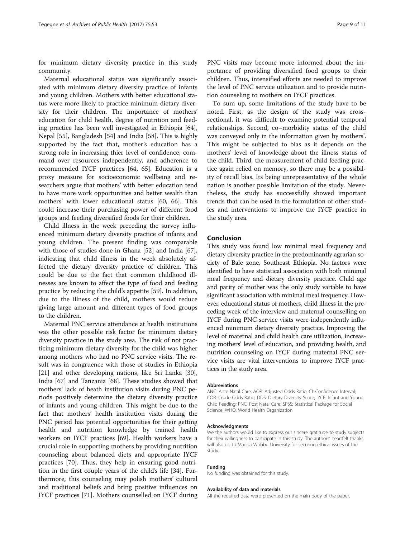for minimum dietary diversity practice in this study community.

Maternal educational status was significantly associated with minimum dietary diversity practice of infants and young children. Mothers with better educational status were more likely to practice minimum dietary diversity for their children. The importance of mothers' education for child health, degree of nutrition and feeding practice has been well investigated in Ethiopia [\[64](#page-10-0)], Nepal [[55\]](#page-10-0), Bangladesh [[54\]](#page-10-0) and India [[58](#page-10-0)]. This is highly supported by the fact that, mother's education has a strong role in increasing thier level of confidence, command over resources independently, and adherence to recommended IYCF practices [[64, 65\]](#page-10-0). Education is a proxy measure for socioeconomic wellbeing and researchers argue that mothers' with better education tend to have more work opportunities and better wealth than mothers' with lower educational status [\[60](#page-10-0), [66\]](#page-10-0). This could increase their purchasing power of different food groups and feeding diversified foods for their children.

Child illness in the week preceding the survey influenced minimum dietary diversity practice of infants and young children. The present finding was comparable with those of studies done in Ghana [[52](#page-10-0)] and India [\[67](#page-10-0)], indicating that child illness in the week absolutely affected the dietary diversity practice of children. This could be due to the fact that common childhood illnesses are known to affect the type of food and feeding practice by reducing the child's appetite [\[59\]](#page-10-0). In addition, due to the illness of the child, mothers would reduce giving large amount and different types of food groups to the children.

Maternal PNC service attendance at health institutions was the other possible risk factor for minimum dietary diversity practice in the study area. The risk of not practicing minimum dietary diversity for the child was higher among mothers who had no PNC service visits. The result was in congruence with those of studies in Ethiopia [[21\]](#page-9-0) and other developing nations, like Sri Lanka [\[30](#page-9-0)], India [\[67\]](#page-10-0) and Tanzania [\[68](#page-10-0)]. These studies showed that mothers' lack of heath institution visits during PNC periods positively determine the dietary diversity practice of infants and young children. This might be due to the fact that mothers' health institution visits during the PNC period has potential opportunities for their getting health and nutrition knowledge by trained health workers on IYCF practices [\[69](#page-10-0)]. Health workers have a crucial role in supporting mothers by providing nutrition counseling about balanced diets and appropriate IYCF practices [\[70\]](#page-10-0). Thus, they help in ensuring good nutrition in the first couple years of the child's life [\[34](#page-9-0)]. Furthermore, this counseling may polish mothers' cultural and traditional beliefs and bring positive influences on IYCF practices [\[71](#page-10-0)]. Mothers counselled on IYCF during

PNC visits may become more informed about the importance of providing diversified food groups to their children. Thus, intensified efforts are needed to improve the level of PNC service utilization and to provide nutrition counseling to mothers on IYCF practices.

To sum up, some limitations of the study have to be noted. First, as the design of the study was crosssectional, it was difficult to examine potential temporal relationships. Second, co–morbidity status of the child was conveyed only in the information given by mothers'. This might be subjected to bias as it depends on the mothers' level of knowledge about the illness status of the child. Third, the measurement of child feeding practice again relied on memory, so there may be a possibility of recall bias. Its being unrepresentative of the whole nation is another possible limitation of the study. Nevertheless, the study has successfully showed important trends that can be used in the formulation of other studies and interventions to improve the IYCF practice in the study area.

### Conclusion

This study was found low minimal meal frequency and dietary diversity practice in the predominantly agrarian society of Bale zone, Southeast Ethiopia. No factors were identified to have statistical association with both minimal meal frequency and dietary diversity practice. Child age and parity of mother was the only study variable to have significant association with minimal meal frequency. However, educational status of mothers, child illness in the preceding week of the interview and maternal counselling on IYCF during PNC service visits were independently influenced minimum dietary diversity practice. Improving the level of maternal and child health care utilization, increasing mothers' level of education, and providing health, and nutrition counseling on IYCF during maternal PNC service visits are vital interventions to improve IYCF practices in the study area.

#### Abbreviations

ANC: Ante Natal Care; AOR: Adjusted Odds Ratio; CI: Confidence Interval; COR: Crude Odds Ratio; DDS: Dietary Diversity Score; IYCF: Infant and Young Child Feeding; PNC: Post Natal Care; SPSS: Statistical Package for Social Science; WHO: World Health Organization

#### Acknowledgments

We the authors would like to express our sincere gratitude to study subjects for their willingness to participate in this study. The authors' heartfelt thanks will also go to Madda Walabu University for securing ethical issues of the study.

#### Funding

No funding was obtained for this study.

#### Availability of data and materials

All the required data were presented on the main body of the paper.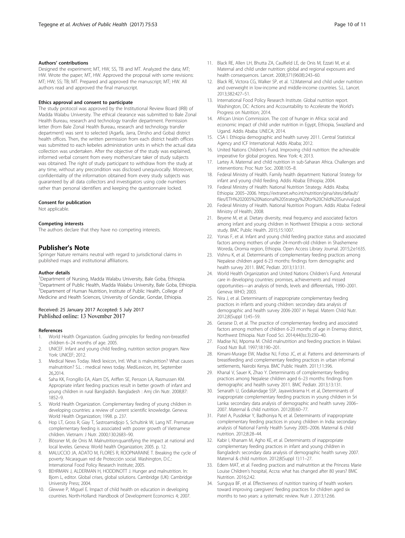### <span id="page-9-0"></span>Authors' contributions

Designed the experiment; MT, HW, SS, TB and MT. Analyzed the data; MT; HW. Wrote the paper; MT, HW. Approved the proposal with some revisions: MT; HW; SS; TB; MT. Prepared and approved the manuscript; MT; HW. All authors read and approved the final manuscript.

#### Ethics approval and consent to participate

The study protocol was approved by the Institutional Review Board (IRB) of Madda Walabu University. The ethical clearance was submitted to Bale Zonal Health Bureau, research and technology transfer department. Permission letter (from Bale Zonal Health Bureau, research and technology transfer department) was sent to selected (Agarfa, Jarra, Dinsho and Goba) district health offices. Then, the written permission from each district health offices was submitted to each kebeles administration units in which the actual data collection was undertaken. After the objective of the study was explained, informed verbal consent from every mothers/care taker of study subjects was obtained. The right of study participant to withdraw from the study at any time, without any precondition was disclosed unequivocally. Moreover, confidentiality of the information obtained from every study subjects was guaranteed by all data collectors and investigators using code numbers rather than personal identifiers and keeping the questionnaire locked.

### Consent for publication

Not applicable.

#### Competing interests

The authors declare that they have no competing interests.

### Publisher's Note

Springer Nature remains neutral with regard to jurisdictional claims in published maps and institutional affiliations.

#### Author details

<sup>1</sup>Department of Nursing, Madda Walabu University, Bale Goba, Ethiopia. 2 Department of Public Health, Madda Walabu University, Bale Goba, Ethiopia. <sup>3</sup>Department of Human Nutrition, Institute of Public Health, College of Medicine and Health Sciences, University of Gondar, Gondar, Ethiopia.

### Received: 25 January 2017 Accepted: 5 July 2017 Published online: 13 November 2017

# References

- 1. World Health Organization. Guiding principles for feeding non-breastfed children 6–24 months of age. 2005.
- 2. UNICEF. Infant and young child feeding, nutrition section program. New York: UNICEF; 2012.
- 3. Medical News Today. Medi lexicon, Intl. What is malnutrition? What causes malnutrition? S.L. : medical news today. MediLexicon, Int, September 26,2014.
- 4. Saha KK, Frongillo EA, Alam DS, Ariffen SE, Persson LA, Rasmussen KM. Appropriate infant feeding practices result in better growth of infant and young children in rural Bangladish. Bangladesh : Amj clin Nutr. 2008;87: 1852–9.
- 5. World Health Organization. Complementary feeding of young children in developing countries: a review of current scientific knowledge. Geneva: World Health Organization; 1998. p. 237.
- 6. Hop LT, Gross R, Giay T, Sastroamidjojo S, Schultink W, Lang NT. Premature complementary feeding is associated with poorer growth of Vietnamese children. Vietnam: J Nutr. 2000;130:2683–90.
- Blössner M, de Onis M. Malnutrition:quantifying the impact at national and local leveles. Geneva: World health Organization; 2005. p. 12.
- 8. MALUCCIO JA, ADATO M, FLORES R, ROOPNARAINE T. Breaking the cycle of poverty: Nicaraguan red de Protección social. Washington, D.C.: International Food Policy Research Institute; 2005.
- BEHRMAN J, ALDERMAN H, HODDINOTT J. Hunger and malnutrition. In: Bjorn L, editor. Global crises, global solutions. Cambridge (UK): Cambridge University Press; 2004.
- 10. Glewwe P, Miguel E. Impact of child health on education in developing countries. North-Holland: Handbook of Development Economics 4; 2007.
- 11. Black RE, Allen LH, Bhutta ZA, Caulfield LE, de Onis M, Ezzati M, et al. Maternal and child under nutrition: global and regional exposures and health consequences. Lancet. 2008;371(9608):243–60.
- 12. Black RE, Victora CG, Walker SP, et al. 12.Maternal and child under nutrition and overweight in low-income and middle-income countries. S.L. Lancet. 2013;382:427–51.
- 13. International Food Policy Research Institute. Global nutrition report. Washington, DC: Actions and Accountability to Accelerate the World's Progress on Nutrition; 2014.
- 14. African Union Commission. The cost of hunger in Africa: social and economic impact of child under nutrition in Egypt, Ethiopia, Swaziland and Ugand. Addis Ababa: UNECA; 2014.
- 15. CSA I. Ethiopia demographic and health survey 2011. Central Statistical Agency and ICF International: Addis Ababa; 2012.
- 16. United Nations Children's Fund. Improving child nutrition: the achievable imperative for global progress. New York: 4; 2013.
- 17. Lartey A. Maternal and child nutrition in sub-Saharan Africa. Challenges and interventions: Proc Nutr Soc. 2008:105–8.
- 18. Federal Ministry of Health. Family health department: National Strategy for infant and young child feeding. Addis Ababa: Ethiopia; 2004.
- 19. Federal Ministry of Health: National Nutrition Strategy. Addis Ababa; Ethiopia: 2005–2006. [https://extranet.who.int/nutrition/gina/sites/default/](https://extranet.who.int/nutrition/gina/sites/default/files/ETH%202005%20National%20Strategy%20for%20Child%20Survival.pd) [files/ETH%202005%20National%20Strategy%20for%20Child%20Survival.pd](https://extranet.who.int/nutrition/gina/sites/default/files/ETH%202005%20National%20Strategy%20for%20Child%20Survival.pd).
- 20. Federal Ministry of Health. National Nutrition Program. Addis Ababa: Federal Ministry of Health; 2008.
- 21. Beyene M, et al. Dietary diversity, meal frequency and associated factors among infant and young children in Northwest Ethiopia: a cross- sectional study. BMC Public Health. 2015;15:1007.
- 22. Yonas F, et al. Infant and young child feeding practice status and associated factors among mothers of under 24-month-old children in Shashemene Woreda, Oromia region, Ethiopia. Open Access Library Journal. 2015;2:e1635.
- 23. Vishnu K, et al. Determinants of complementary feeding practices among Nepalese children aged 6-23 months: findings form demographic and health survey 2011. BMC Pediatr. 2013;13:131.
- 24. World Health Organization and United Nations Children's Fund. Antenatal care in developing countries: promises, achievements and missed opportunities—an analysis of trends, levels and differentials, 1990–2001. Geneva: WHO; 2003.
- 25. Nira J, et al. Determinants of inappropriate complementary feeding practices in infants and young children: secondary data analysis of demographic and health survey 2006-2007 in Nepal. Matern Child Nutr. 2012;8(Suppl 1):45–59.
- 26. Gessese D, et al. The practice of complementary feeding and associated factors among mothers of children 6-23 months of age in Enemay district, Northwest Ethiopia. Nutr Food Sci. 2014;44(Iss:3):230–40.
- 27. Madise NJ, Mpoma M. Child malnutrition and feeding practices in Malawi. Food Nutr Bull. 1997;18:190–201.
- 28. Kimani-Murage EW, Madise NJ, Fotso JC, et al. Patterns and determinants of breastfeeding and complementary feeding practices in urban informal settlements, Nairobi Kenya. BMC Public Health. 2011;11:396.
- 29. Khanal V, Sauer K, Zhao Y. Determinants of complementary feeding practices among Nepalese children aged 6–23 months: findings from demographic and health survey 2011. BMC Pediatr. 2013;13:131.
- 30. Senarath U, Godakandage SSP, Jayawickrama H. et al, Determinants of inappropriate complementary feeding practices in young children in Sri Lanka: secondary data analysis of demographic and health survey 2006– 2007. Maternal & child nutrition. 2012(8):60–77.
- 31. Patel A, Pusdekar Y, Badhoniya N, et al. Determinants of inappropriate complementary feeding practices in young children in India: secondary analysis of National Family Health Survey 2005–2006. Maternal & child nutrition. 2012;8:28–44.
- 32. Kabir I, Khanam M, Agho KE, et al. Determinants of inappropriate complementary feeding practices in infant and young children in Bangladesh: secondary data analysis of demographic health survey 2007. Maternal & child nutrition. 2012;8(Suppl 1):11–27.
- 33. Edem MAT, et al. Feeding practices and malnutrition at the Princess Marie Louise Children's hospital, Accra: what has changed after 80 years? BMC Nutrition. 2016;2:42.
- 34. Sunguya BF, et al. Effectiveness of nutrition training of health workers toward improving caregivers' feeding practices for children aged six months to two years: a systematic review. Nutr J. 2013;12:66.